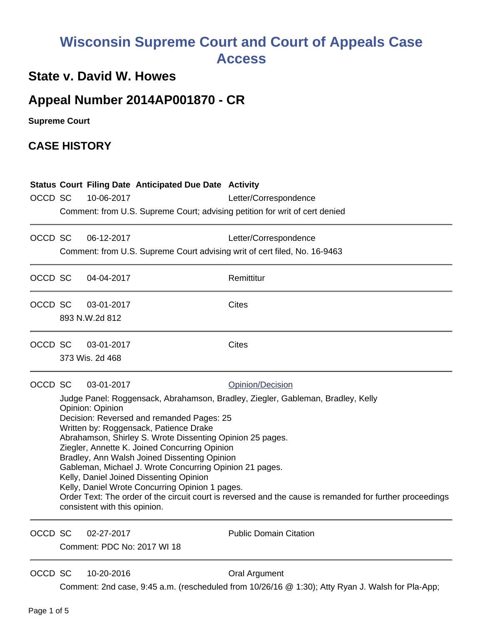# **Wisconsin Supreme Court and Court of Appeals Case Access**

## **State v. David W. Howes**

## **Appeal Number 2014AP001870 - CR**

**Supreme Court** 

### **CASE HISTORY**

| OCCD SC |                                                                                                                                                                                                                                                                                                                                                                                                                                                                                                                                                                                                                                                                                                  | <b>Status Court Filing Date Anticipated Due Date Activity</b><br>10-06-2017<br>Comment: from U.S. Supreme Court; advising petition for writ of cert denied | Letter/Correspondence         |
|---------|--------------------------------------------------------------------------------------------------------------------------------------------------------------------------------------------------------------------------------------------------------------------------------------------------------------------------------------------------------------------------------------------------------------------------------------------------------------------------------------------------------------------------------------------------------------------------------------------------------------------------------------------------------------------------------------------------|------------------------------------------------------------------------------------------------------------------------------------------------------------|-------------------------------|
| OCCD SC |                                                                                                                                                                                                                                                                                                                                                                                                                                                                                                                                                                                                                                                                                                  | 06-12-2017<br>Comment: from U.S. Supreme Court advising writ of cert filed, No. 16-9463                                                                    | Letter/Correspondence         |
| OCCD SC |                                                                                                                                                                                                                                                                                                                                                                                                                                                                                                                                                                                                                                                                                                  | 04-04-2017                                                                                                                                                 | Remittitur                    |
| OCCD SC |                                                                                                                                                                                                                                                                                                                                                                                                                                                                                                                                                                                                                                                                                                  | 03-01-2017<br>893 N.W.2d 812                                                                                                                               | <b>Cites</b>                  |
| OCCD SC |                                                                                                                                                                                                                                                                                                                                                                                                                                                                                                                                                                                                                                                                                                  | 03-01-2017<br>373 Wis. 2d 468                                                                                                                              | <b>Cites</b>                  |
| OCCD SC | 03-01-2017<br>Opinion/Decision<br>Judge Panel: Roggensack, Abrahamson, Bradley, Ziegler, Gableman, Bradley, Kelly<br>Opinion: Opinion<br>Decision: Reversed and remanded Pages: 25<br>Written by: Roggensack, Patience Drake<br>Abrahamson, Shirley S. Wrote Dissenting Opinion 25 pages.<br>Ziegler, Annette K. Joined Concurring Opinion<br>Bradley, Ann Walsh Joined Dissenting Opinion<br>Gableman, Michael J. Wrote Concurring Opinion 21 pages.<br>Kelly, Daniel Joined Dissenting Opinion<br>Kelly, Daniel Wrote Concurring Opinion 1 pages.<br>Order Text: The order of the circuit court is reversed and the cause is remanded for further proceedings<br>consistent with this opinion. |                                                                                                                                                            |                               |
| OCCD SC |                                                                                                                                                                                                                                                                                                                                                                                                                                                                                                                                                                                                                                                                                                  | 02-27-2017<br>Comment: PDC No: 2017 WI 18                                                                                                                  | <b>Public Domain Citation</b> |

Comment: PDC No: 2017 WI 18

OCCD SC 10-20-2016 COCO COCO COCO COCO COCO COCO COCO COCO COCO COCO COCO COCO

Comment: 2nd case, 9:45 a.m. (rescheduled from 10/26/16 @ 1:30); Atty Ryan J. Walsh for Pla-App;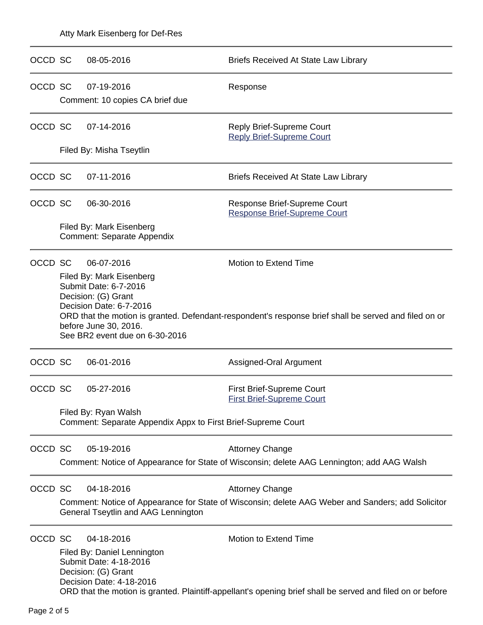| OCCD SC |                                                                                                                                                                                                                                                                                                                | 08-05-2016                                                                                                             | Briefs Received At State Law Library                                                                                                |  |  |
|---------|----------------------------------------------------------------------------------------------------------------------------------------------------------------------------------------------------------------------------------------------------------------------------------------------------------------|------------------------------------------------------------------------------------------------------------------------|-------------------------------------------------------------------------------------------------------------------------------------|--|--|
| OCCD SC |                                                                                                                                                                                                                                                                                                                | 07-19-2016<br>Comment: 10 copies CA brief due                                                                          | Response                                                                                                                            |  |  |
| OCCD SC |                                                                                                                                                                                                                                                                                                                | 07-14-2016                                                                                                             | <b>Reply Brief-Supreme Court</b><br><b>Reply Brief-Supreme Court</b>                                                                |  |  |
|         |                                                                                                                                                                                                                                                                                                                | Filed By: Misha Tseytlin                                                                                               |                                                                                                                                     |  |  |
| OCCD SC |                                                                                                                                                                                                                                                                                                                | 07-11-2016                                                                                                             | <b>Briefs Received At State Law Library</b>                                                                                         |  |  |
| OCCD SC |                                                                                                                                                                                                                                                                                                                | 06-30-2016                                                                                                             | Response Brief-Supreme Court<br><b>Response Brief-Supreme Court</b>                                                                 |  |  |
|         |                                                                                                                                                                                                                                                                                                                | Filed By: Mark Eisenberg<br><b>Comment: Separate Appendix</b>                                                          |                                                                                                                                     |  |  |
| OCCD SC | Motion to Extend Time<br>06-07-2016<br>Filed By: Mark Eisenberg<br>Submit Date: 6-7-2016<br>Decision: (G) Grant<br>Decision Date: 6-7-2016<br>ORD that the motion is granted. Defendant-respondent's response brief shall be served and filed on or<br>before June 30, 2016.<br>See BR2 event due on 6-30-2016 |                                                                                                                        |                                                                                                                                     |  |  |
| OCCD SC |                                                                                                                                                                                                                                                                                                                | 06-01-2016                                                                                                             | Assigned-Oral Argument                                                                                                              |  |  |
| OCCD SC |                                                                                                                                                                                                                                                                                                                | 05-27-2016                                                                                                             | <b>First Brief-Supreme Court</b><br><b>First Brief-Supreme Court</b>                                                                |  |  |
|         |                                                                                                                                                                                                                                                                                                                | Filed By: Ryan Walsh<br>Comment: Separate Appendix Appx to First Brief-Supreme Court                                   |                                                                                                                                     |  |  |
| OCCD SC |                                                                                                                                                                                                                                                                                                                | 05-19-2016                                                                                                             | <b>Attorney Change</b><br>Comment: Notice of Appearance for State of Wisconsin; delete AAG Lennington; add AAG Walsh                |  |  |
| OCCD SC |                                                                                                                                                                                                                                                                                                                | 04-18-2016<br>General Tseytlin and AAG Lennington                                                                      | <b>Attorney Change</b><br>Comment: Notice of Appearance for State of Wisconsin; delete AAG Weber and Sanders; add Solicitor         |  |  |
| OCCD SC |                                                                                                                                                                                                                                                                                                                | 04-18-2016<br>Filed By: Daniel Lennington<br>Submit Date: 4-18-2016<br>Decision: (G) Grant<br>Decision Date: 4-18-2016 | Motion to Extend Time<br>ORD that the motion is granted. Plaintiff-appellant's opening brief shall be served and filed on or before |  |  |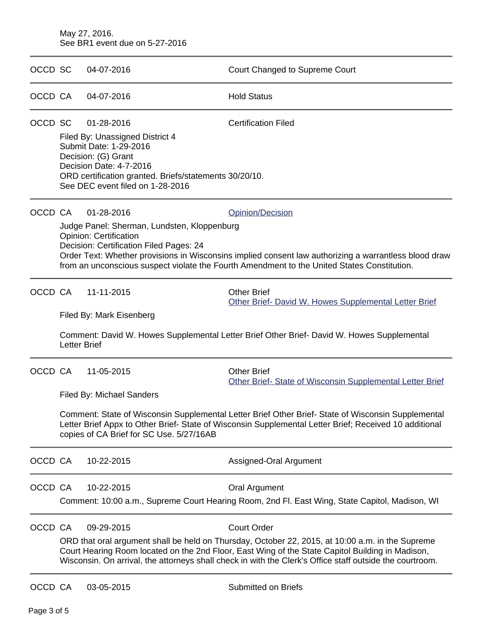#### May 27, 2016. See BR1 event due on 5-27-2016

| OCCD SC |                     | 04-07-2016                                                                                                                                                                                                              | Court Changed to Supreme Court                                                                                                                                                                                                                                                                                                         |
|---------|---------------------|-------------------------------------------------------------------------------------------------------------------------------------------------------------------------------------------------------------------------|----------------------------------------------------------------------------------------------------------------------------------------------------------------------------------------------------------------------------------------------------------------------------------------------------------------------------------------|
| OCCD CA |                     | 04-07-2016                                                                                                                                                                                                              | <b>Hold Status</b>                                                                                                                                                                                                                                                                                                                     |
| OCCD SC |                     | 01-28-2016<br>Filed By: Unassigned District 4<br>Submit Date: 1-29-2016<br>Decision: (G) Grant<br>Decision Date: 4-7-2016<br>ORD certification granted. Briefs/statements 30/20/10.<br>See DEC event filed on 1-28-2016 | <b>Certification Filed</b>                                                                                                                                                                                                                                                                                                             |
| OCCD CA |                     | 01-28-2016<br>Judge Panel: Sherman, Lundsten, Kloppenburg<br><b>Opinion: Certification</b><br>Decision: Certification Filed Pages: 24                                                                                   | Opinion/Decision<br>Order Text: Whether provisions in Wisconsins implied consent law authorizing a warrantless blood draw<br>from an unconscious suspect violate the Fourth Amendment to the United States Constitution.                                                                                                               |
| OCCD CA | <b>Letter Brief</b> | 11-11-2015<br>Filed By: Mark Eisenberg                                                                                                                                                                                  | <b>Other Brief</b><br>Other Brief- David W. Howes Supplemental Letter Brief<br>Comment: David W. Howes Supplemental Letter Brief Other Brief- David W. Howes Supplemental                                                                                                                                                              |
| OCCD CA |                     | 11-05-2015<br><b>Filed By: Michael Sanders</b><br>copies of CA Brief for SC Use. 5/27/16AB                                                                                                                              | <b>Other Brief</b><br>Other Brief- State of Wisconsin Supplemental Letter Brief<br>Comment: State of Wisconsin Supplemental Letter Brief Other Brief- State of Wisconsin Supplemental<br>Letter Brief Appx to Other Brief- State of Wisconsin Supplemental Letter Brief; Received 10 additional                                        |
| OCCD CA |                     | 10-22-2015                                                                                                                                                                                                              | Assigned-Oral Argument                                                                                                                                                                                                                                                                                                                 |
| OCCD CA |                     | 10-22-2015                                                                                                                                                                                                              | Oral Argument<br>Comment: 10:00 a.m., Supreme Court Hearing Room, 2nd Fl. East Wing, State Capitol, Madison, WI                                                                                                                                                                                                                        |
| OCCD CA |                     | 09-29-2015                                                                                                                                                                                                              | <b>Court Order</b><br>ORD that oral argument shall be held on Thursday, October 22, 2015, at 10:00 a.m. in the Supreme<br>Court Hearing Room located on the 2nd Floor, East Wing of the State Capitol Building in Madison,<br>Wisconsin. On arrival, the attorneys shall check in with the Clerk's Office staff outside the courtroom. |
| OCCD CA |                     | 03-05-2015                                                                                                                                                                                                              | <b>Submitted on Briefs</b>                                                                                                                                                                                                                                                                                                             |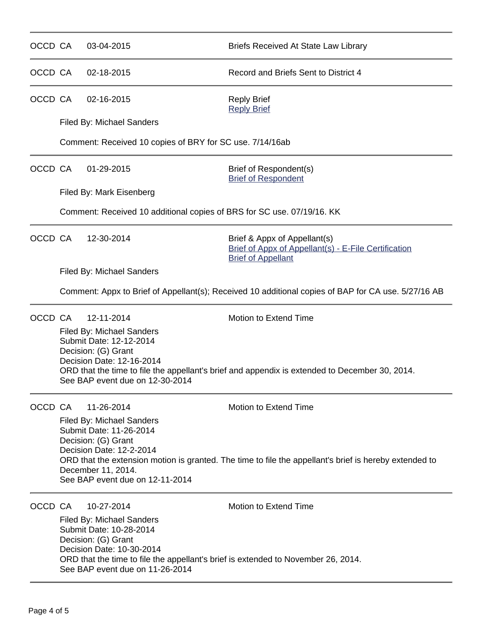| OCCD CA | 03-04-2015                                                                                                                                                                                                                              | <b>Briefs Received At State Law Library</b>                                                                                            |  |  |  |
|---------|-----------------------------------------------------------------------------------------------------------------------------------------------------------------------------------------------------------------------------------------|----------------------------------------------------------------------------------------------------------------------------------------|--|--|--|
| OCCD CA | 02-18-2015                                                                                                                                                                                                                              | Record and Briefs Sent to District 4                                                                                                   |  |  |  |
| OCCD CA | 02-16-2015                                                                                                                                                                                                                              | <b>Reply Brief</b><br><b>Reply Brief</b>                                                                                               |  |  |  |
|         | Filed By: Michael Sanders                                                                                                                                                                                                               |                                                                                                                                        |  |  |  |
|         | Comment: Received 10 copies of BRY for SC use. 7/14/16ab                                                                                                                                                                                |                                                                                                                                        |  |  |  |
| OCCD CA | 01-29-2015                                                                                                                                                                                                                              | Brief of Respondent(s)<br><b>Brief of Respondent</b>                                                                                   |  |  |  |
|         | Filed By: Mark Eisenberg                                                                                                                                                                                                                |                                                                                                                                        |  |  |  |
|         | Comment: Received 10 additional copies of BRS for SC use. 07/19/16. KK                                                                                                                                                                  |                                                                                                                                        |  |  |  |
| OCCD CA | 12-30-2014                                                                                                                                                                                                                              | Brief & Appx of Appellant(s)<br>Brief of Appx of Appellant(s) - E-File Certification<br><b>Brief of Appellant</b>                      |  |  |  |
|         | <b>Filed By: Michael Sanders</b>                                                                                                                                                                                                        |                                                                                                                                        |  |  |  |
|         | Comment: Appx to Brief of Appellant(s); Received 10 additional copies of BAP for CA use. 5/27/16 AB                                                                                                                                     |                                                                                                                                        |  |  |  |
| OCCD CA | 12-11-2014                                                                                                                                                                                                                              | <b>Motion to Extend Time</b>                                                                                                           |  |  |  |
|         | <b>Filed By: Michael Sanders</b><br>Submit Date: 12-12-2014<br>Decision: (G) Grant<br>Decision Date: 12-16-2014<br>See BAP event due on 12-30-2014                                                                                      | ORD that the time to file the appellant's brief and appendix is extended to December 30, 2014.                                         |  |  |  |
|         |                                                                                                                                                                                                                                         |                                                                                                                                        |  |  |  |
| OCCD CA | 11-26-2014<br><b>Filed By: Michael Sanders</b><br>Submit Date: 11-26-2014<br>Decision: (G) Grant<br>Decision Date: 12-2-2014<br>December 11, 2014.<br>See BAP event due on 12-11-2014                                                   | <b>Motion to Extend Time</b><br>ORD that the extension motion is granted. The time to file the appellant's brief is hereby extended to |  |  |  |
| OCCD CA | 10-27-2014                                                                                                                                                                                                                              | <b>Motion to Extend Time</b>                                                                                                           |  |  |  |
|         | <b>Filed By: Michael Sanders</b><br>Submit Date: 10-28-2014<br>Decision: (G) Grant<br>Decision Date: 10-30-2014<br>ORD that the time to file the appellant's brief is extended to November 26, 2014.<br>See BAP event due on 11-26-2014 |                                                                                                                                        |  |  |  |